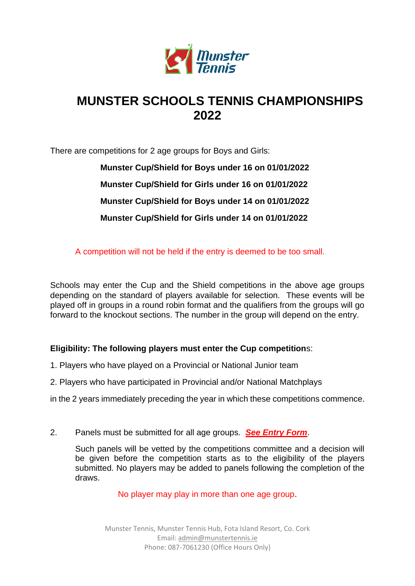

## **MUNSTER SCHOOLS TENNIS CHAMPIONSHIPS 2022**

There are competitions for 2 age groups for Boys and Girls:

**Munster Cup/Shield for Boys under 16 on 01/01/2022 Munster Cup/Shield for Girls under 16 on 01/01/2022 Munster Cup/Shield for Boys under 14 on 01/01/2022 Munster Cup/Shield for Girls under 14 on 01/01/2022**

A competition will not be held if the entry is deemed to be too small.

Schools may enter the Cup and the Shield competitions in the above age groups depending on the standard of players available for selection. These events will be played off in groups in a round robin format and the qualifiers from the groups will go forward to the knockout sections. The number in the group will depend on the entry.

## **Eligibility: The following players must enter the Cup competition**s:

- 1. Players who have played on a Provincial or National Junior team
- 2. Players who have participated in Provincial and/or National Matchplays
- in the 2 years immediately preceding the year in which these competitions commence.
- 2. Panels must be submitted for all age groups. *See Entry Form*.

Such panels will be vetted by the competitions committee and a decision will be given before the competition starts as to the eligibility of the players submitted. No players may be added to panels following the completion of the draws.

No player may play in more than one age group.

Munster Tennis, Munster Tennis Hub, Fota Island Resort, Co. Cork Email[: admin@munstertennis.ie](mailto:admin@munstertennis.ie) Phone: 087-7061230 (Office Hours Only)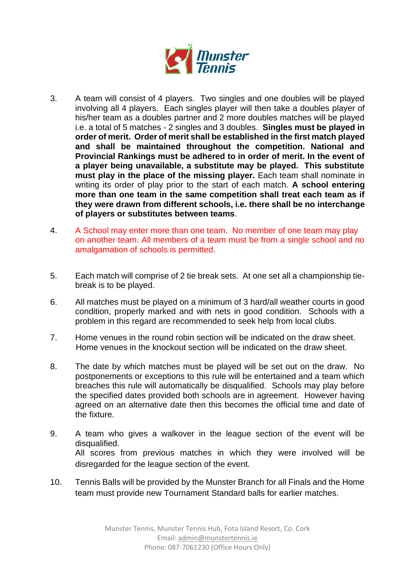

- 3. A team will consist of 4 players. Two singles and one doubles will be played involving all 4 players. Each singles player will then take a doubles player of his/her team as a doubles partner and 2 more doubles matches will be played i.e. a total of 5 matches - 2 singles and 3 doubles. **Singles must be played in order of merit. Order of merit shall be established in the first match played and shall be maintained throughout the competition. National and Provincial Rankings must be adhered to in order of merit. In the event of a player being unavailable, a substitute may be played. This substitute must play in the place of the missing player.** Each team shall nominate in writing its order of play prior to the start of each match. **A school entering more than one team in the same competition shall treat each team as if they were drawn from different schools, i.e. there shall be no interchange of players or substitutes between teams**.
- 4. A School may enter more than one team. No member of one team may play on another team. All members of a team must be from a single school and no amalgamation of schools is permitted.
- 5. Each match will comprise of 2 tie break sets. At one set all a championship tiebreak is to be played.
- 6. All matches must be played on a minimum of 3 hard/all weather courts in good condition, properly marked and with nets in good condition. Schools with a problem in this regard are recommended to seek help from local clubs.
- 7. Home venues in the round robin section will be indicated on the draw sheet. Home venues in the knockout section will be indicated on the draw sheet.
- 8. The date by which matches must be played will be set out on the draw. No postponements or exceptions to this rule will be entertained and a team which breaches this rule will automatically be disqualified. Schools may play before the specified dates provided both schools are in agreement. However having agreed on an alternative date then this becomes the official time and date of the fixture.
- 9. A team who gives a walkover in the league section of the event will be disqualified. All scores from previous matches in which they were involved will be disregarded for the league section of the event.
- 10. Tennis Balls will be provided by the Munster Branch for all Finals and the Home team must provide new Tournament Standard balls for earlier matches.